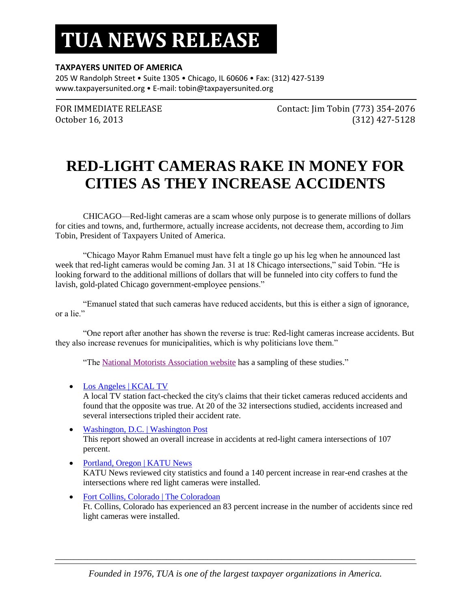## **TUA NEWS RELEASE**

#### **TAXPAYERS UNITED OF AMERICA**

205 W Randolph Street • Suite 1305 • Chicago, IL 60606 • Fax: (312) 427-5139 www.taxpayersunited.org • E-mail: tobin@taxpayersunited.org

FOR IMMEDIATE RELEASE Contact: Jim Tobin (773) 354-2076 October 16, 2013 (312) 427-5128

## **RED-LIGHT CAMERAS RAKE IN MONEY FOR CITIES AS THEY INCREASE ACCIDENTS**

CHICAGO—Red-light cameras are a scam whose only purpose is to generate millions of dollars for cities and towns, and, furthermore, actually increase accidents, not decrease them, according to Jim Tobin, President of Taxpayers United of America.

"Chicago Mayor Rahm Emanuel must have felt a tingle go up his leg when he announced last week that red-light cameras would be coming Jan. 31 at 18 Chicago intersections," said Tobin. "He is looking forward to the additional millions of dollars that will be funneled into city coffers to fund the lavish, gold-plated Chicago government-employee pensions."

"Emanuel stated that such cameras have reduced accidents, but this is either a sign of ignorance, or a lie."

"One report after another has shown the reverse is true: Red-light cameras increase accidents. But they also increase revenues for municipalities, which is why politicians love them."

"Th[e National Motorists Association website](http://www.motorists.org/red-light-cameras/increase-accidents) has a sampling of these studies."

[Los Angeles | KCAL TV](http://blog.motorists.org/la-red-light-cameras-increase-accidents/)

A local TV station fact-checked the city's claims that their ticket cameras reduced accidents and found that the opposite was true. At 20 of the 32 intersections studied, accidents increased and several intersections tripled their accident rate.

- [Washington, D.C. | Washington Post](http://www.motorists.org/red-light-cameras/washington-post) This report showed an overall increase in accidents at red-light camera intersections of 107 percent.
- [Portland, Oregon | KATU News](http://www.motorists.org/red-light-cameras/katu-news) KATU News reviewed city statistics and found a 140 percent increase in rear-end crashes at the intersections where red light cameras were installed.
- [Fort Collins, Colorado | The Coloradoan](http://www.motorists.org/red-light-cameras/fort-collins) Ft. Collins, Colorado has experienced an 83 percent increase in the number of accidents since red light cameras were installed.

\_\_\_\_\_\_\_\_\_\_\_\_\_\_\_\_\_\_\_\_\_\_\_\_\_\_\_\_\_\_\_\_\_\_\_\_\_\_\_\_\_\_\_\_\_\_\_\_\_\_\_\_\_\_\_\_\_\_\_\_\_\_\_\_\_\_\_\_\_\_\_\_\_\_\_\_\_\_